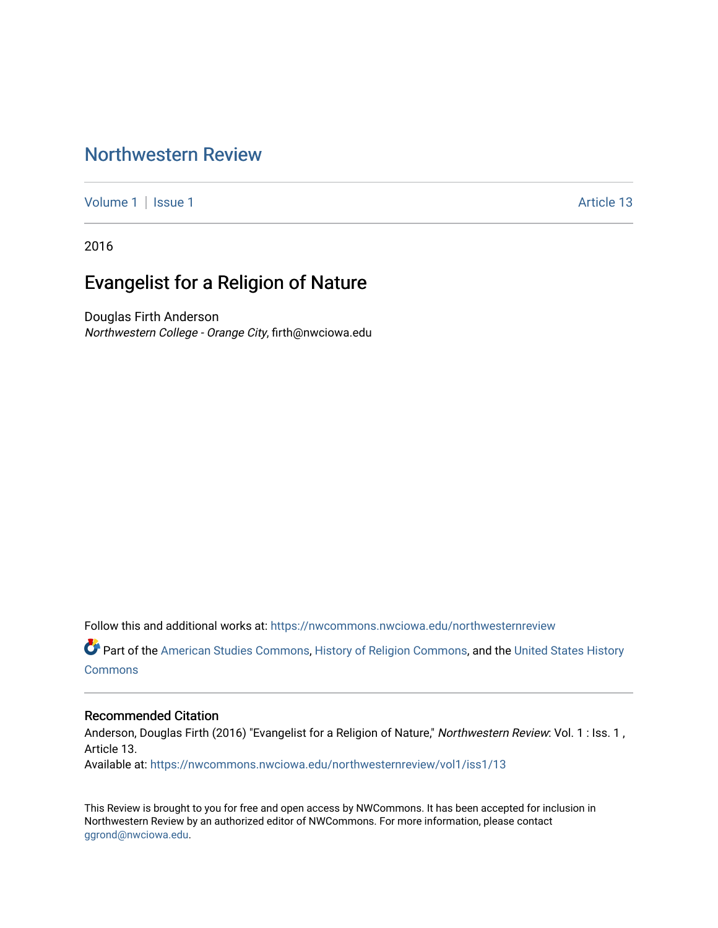# [Northwestern Review](https://nwcommons.nwciowa.edu/northwesternreview)

[Volume 1](https://nwcommons.nwciowa.edu/northwesternreview/vol1) | [Issue 1](https://nwcommons.nwciowa.edu/northwesternreview/vol1/iss1) Article 13

2016

# Evangelist for a Religion of Nature

Douglas Firth Anderson Northwestern College - Orange City, firth@nwciowa.edu

Follow this and additional works at: [https://nwcommons.nwciowa.edu/northwesternreview](https://nwcommons.nwciowa.edu/northwesternreview?utm_source=nwcommons.nwciowa.edu%2Fnorthwesternreview%2Fvol1%2Fiss1%2F13&utm_medium=PDF&utm_campaign=PDFCoverPages) 

Part of the [American Studies Commons](http://network.bepress.com/hgg/discipline/439?utm_source=nwcommons.nwciowa.edu%2Fnorthwesternreview%2Fvol1%2Fiss1%2F13&utm_medium=PDF&utm_campaign=PDFCoverPages), [History of Religion Commons,](http://network.bepress.com/hgg/discipline/499?utm_source=nwcommons.nwciowa.edu%2Fnorthwesternreview%2Fvol1%2Fiss1%2F13&utm_medium=PDF&utm_campaign=PDFCoverPages) and the [United States History](http://network.bepress.com/hgg/discipline/495?utm_source=nwcommons.nwciowa.edu%2Fnorthwesternreview%2Fvol1%2Fiss1%2F13&utm_medium=PDF&utm_campaign=PDFCoverPages) **[Commons](http://network.bepress.com/hgg/discipline/495?utm_source=nwcommons.nwciowa.edu%2Fnorthwesternreview%2Fvol1%2Fiss1%2F13&utm_medium=PDF&utm_campaign=PDFCoverPages)** 

#### Recommended Citation

Anderson, Douglas Firth (2016) "Evangelist for a Religion of Nature," Northwestern Review: Vol. 1 : Iss. 1, Article 13.

Available at: [https://nwcommons.nwciowa.edu/northwesternreview/vol1/iss1/13](https://nwcommons.nwciowa.edu/northwesternreview/vol1/iss1/13?utm_source=nwcommons.nwciowa.edu%2Fnorthwesternreview%2Fvol1%2Fiss1%2F13&utm_medium=PDF&utm_campaign=PDFCoverPages) 

This Review is brought to you for free and open access by NWCommons. It has been accepted for inclusion in Northwestern Review by an authorized editor of NWCommons. For more information, please contact [ggrond@nwciowa.edu.](mailto:ggrond@nwciowa.edu)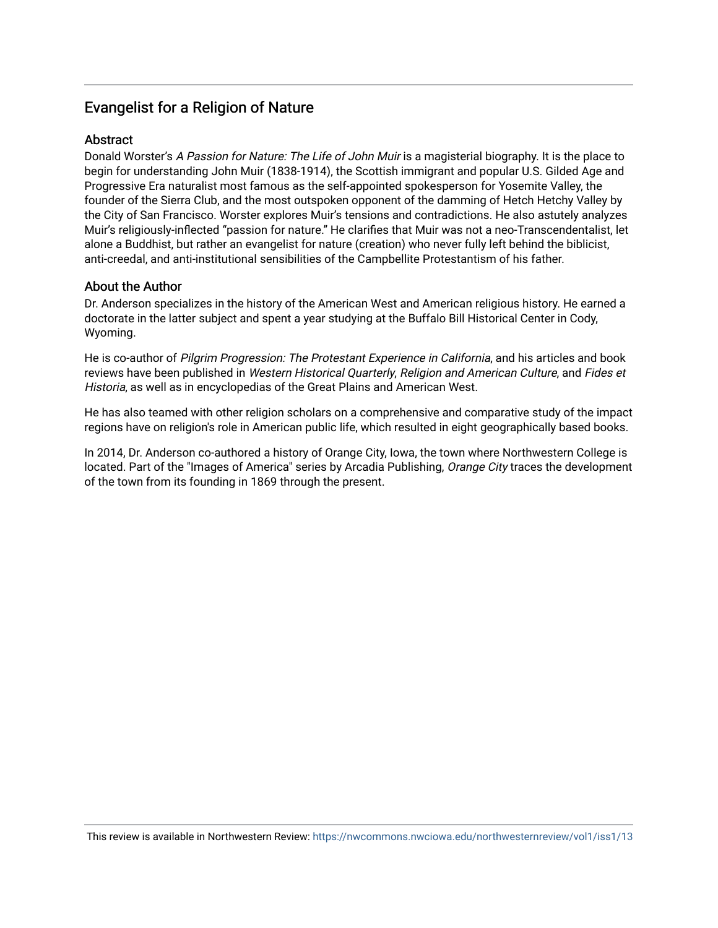# Evangelist for a Religion of Nature

#### **Abstract**

Donald Worster's A Passion for Nature: The Life of John Muir is a magisterial biography. It is the place to begin for understanding John Muir (1838-1914), the Scottish immigrant and popular U.S. Gilded Age and Progressive Era naturalist most famous as the self-appointed spokesperson for Yosemite Valley, the founder of the Sierra Club, and the most outspoken opponent of the damming of Hetch Hetchy Valley by the City of San Francisco. Worster explores Muir's tensions and contradictions. He also astutely analyzes Muir's religiously-inflected "passion for nature." He clarifies that Muir was not a neo-Transcendentalist, let alone a Buddhist, but rather an evangelist for nature (creation) who never fully left behind the biblicist, anti-creedal, and anti-institutional sensibilities of the Campbellite Protestantism of his father.

#### About the Author

Dr. Anderson specializes in the history of the American West and American religious history. He earned a doctorate in the latter subject and spent a year studying at the Buffalo Bill Historical Center in Cody, Wyoming.

He is co-author of Pilgrim Progression: The Protestant Experience in California, and his articles and book reviews have been published in Western Historical Quarterly, Religion and American Culture, and Fides et Historia, as well as in encyclopedias of the Great Plains and American West.

He has also teamed with other religion scholars on a comprehensive and comparative study of the impact regions have on religion's role in American public life, which resulted in eight geographically based books.

In 2014, Dr. Anderson co-authored a history of Orange City, Iowa, the town where Northwestern College is located. Part of the "Images of America" series by Arcadia Publishing, Orange City traces the development of the town from its founding in 1869 through the present.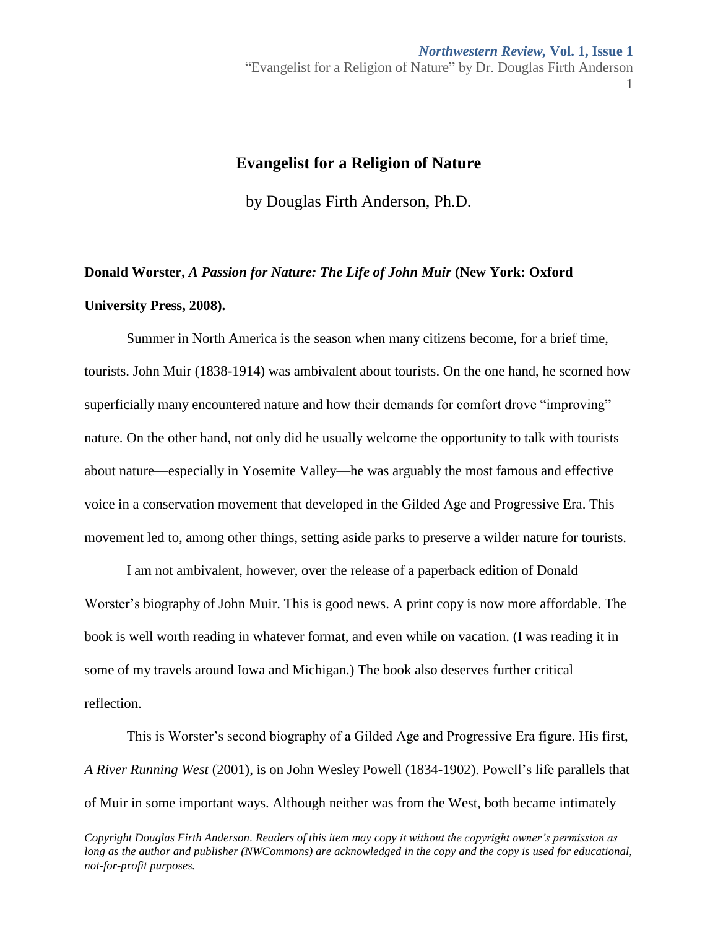## **Evangelist for a Religion of Nature**

by Douglas Firth Anderson, Ph.D.

# **Donald Worster,** *A Passion for Nature: The Life of John Muir* **(New York: Oxford University Press, 2008).**

Summer in North America is the season when many citizens become, for a brief time, tourists. John Muir (1838-1914) was ambivalent about tourists. On the one hand, he scorned how superficially many encountered nature and how their demands for comfort drove "improving" nature. On the other hand, not only did he usually welcome the opportunity to talk with tourists about nature—especially in Yosemite Valley—he was arguably the most famous and effective voice in a conservation movement that developed in the Gilded Age and Progressive Era. This movement led to, among other things, setting aside parks to preserve a wilder nature for tourists.

I am not ambivalent, however, over the release of a paperback edition of Donald Worster's biography of John Muir. This is good news. A print copy is now more affordable. The book is well worth reading in whatever format, and even while on vacation. (I was reading it in some of my travels around Iowa and Michigan.) The book also deserves further critical reflection.

This is Worster's second biography of a Gilded Age and Progressive Era figure. His first, *A River Running West* (2001), is on John Wesley Powell (1834-1902). Powell's life parallels that of Muir in some important ways. Although neither was from the West, both became intimately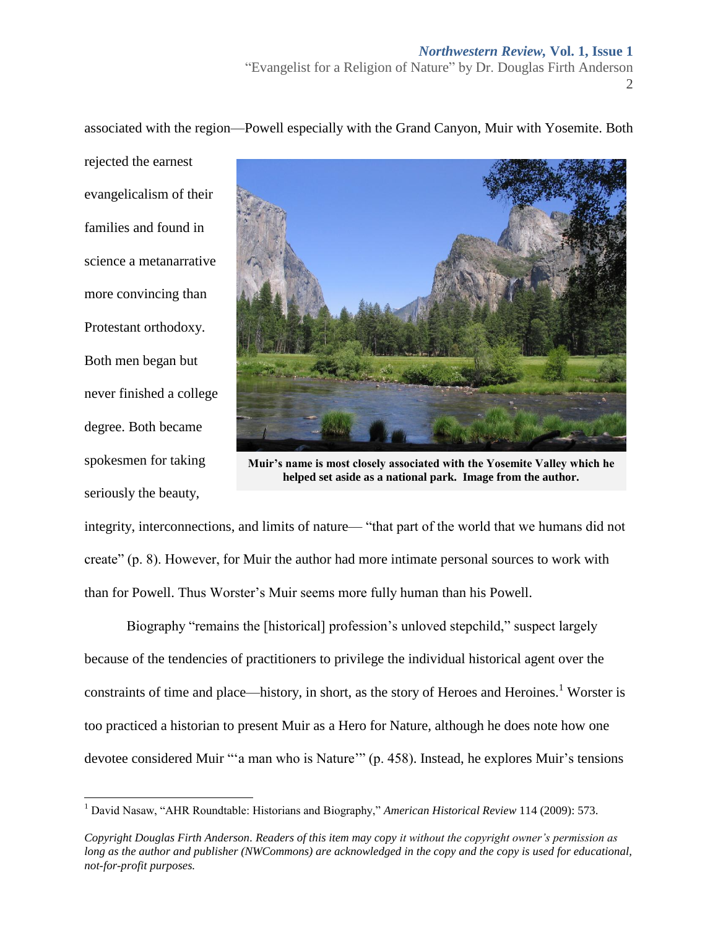rejected the earnest evangelicalism of their families and found in science a metanarrative more convincing than Protestant orthodoxy. Both men began but never finished a college degree. Both became spokesmen for taking

seriously the beauty,

l



**Muir's name is most closely associated with the Yosemite Valley which he helped set aside as a national park. Image from the author.**

integrity, interconnections, and limits of nature— "that part of the world that we humans did not create" (p. 8). However, for Muir the author had more intimate personal sources to work with than for Powell. Thus Worster's Muir seems more fully human than his Powell.

Biography "remains the [historical] profession's unloved stepchild," suspect largely because of the tendencies of practitioners to privilege the individual historical agent over the constraints of time and place—history, in short, as the story of Heroes and Heroines.<sup>1</sup> Worster is too practiced a historian to present Muir as a Hero for Nature, although he does note how one devotee considered Muir "'a man who is Nature'" (p. 458). Instead, he explores Muir's tensions

associated with the region—Powell especially with the Grand Canyon, Muir with Yosemite. Both

<sup>1</sup> David Nasaw, "AHR Roundtable: Historians and Biography," *American Historical Review* 114 (2009): 573.

*Copyright Douglas Firth Anderson. Readers of this item may copy it without the copyright owner's permission as long as the author and publisher (NWCommons) are acknowledged in the copy and the copy is used for educational, not-for-profit purposes.*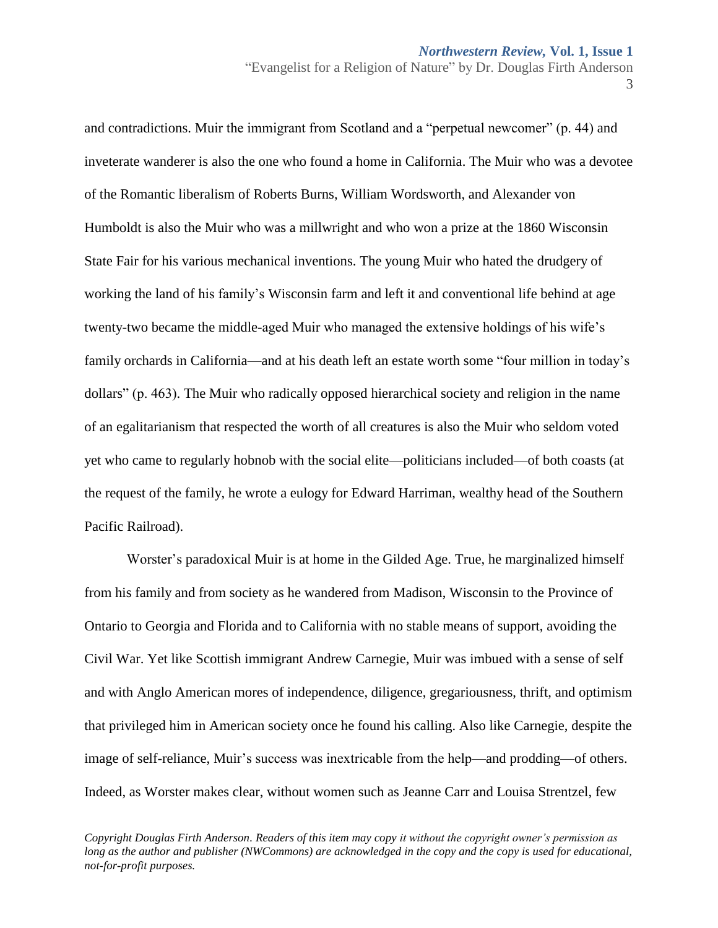and contradictions. Muir the immigrant from Scotland and a "perpetual newcomer" (p. 44) and inveterate wanderer is also the one who found a home in California. The Muir who was a devotee of the Romantic liberalism of Roberts Burns, William Wordsworth, and Alexander von Humboldt is also the Muir who was a millwright and who won a prize at the 1860 Wisconsin State Fair for his various mechanical inventions. The young Muir who hated the drudgery of working the land of his family's Wisconsin farm and left it and conventional life behind at age twenty-two became the middle-aged Muir who managed the extensive holdings of his wife's family orchards in California—and at his death left an estate worth some "four million in today's dollars" (p. 463). The Muir who radically opposed hierarchical society and religion in the name of an egalitarianism that respected the worth of all creatures is also the Muir who seldom voted yet who came to regularly hobnob with the social elite—politicians included—of both coasts (at the request of the family, he wrote a eulogy for Edward Harriman, wealthy head of the Southern Pacific Railroad).

Worster's paradoxical Muir is at home in the Gilded Age. True, he marginalized himself from his family and from society as he wandered from Madison, Wisconsin to the Province of Ontario to Georgia and Florida and to California with no stable means of support, avoiding the Civil War. Yet like Scottish immigrant Andrew Carnegie, Muir was imbued with a sense of self and with Anglo American mores of independence, diligence, gregariousness, thrift, and optimism that privileged him in American society once he found his calling. Also like Carnegie, despite the image of self-reliance, Muir's success was inextricable from the help—and prodding—of others. Indeed, as Worster makes clear, without women such as Jeanne Carr and Louisa Strentzel, few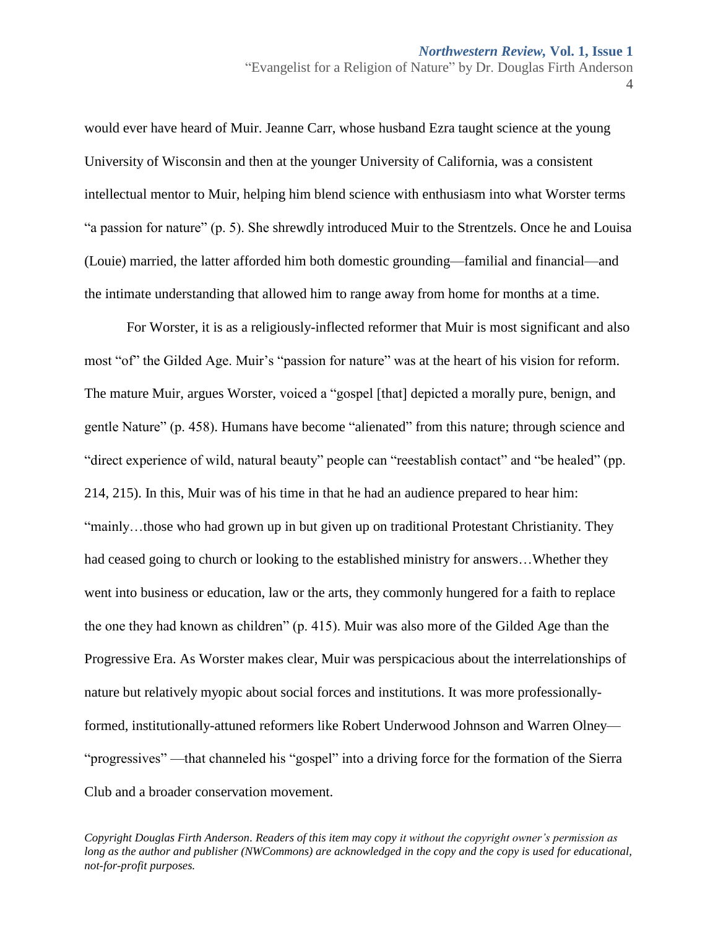would ever have heard of Muir. Jeanne Carr, whose husband Ezra taught science at the young University of Wisconsin and then at the younger University of California, was a consistent intellectual mentor to Muir, helping him blend science with enthusiasm into what Worster terms "a passion for nature" (p. 5). She shrewdly introduced Muir to the Strentzels. Once he and Louisa (Louie) married, the latter afforded him both domestic grounding—familial and financial—and the intimate understanding that allowed him to range away from home for months at a time.

For Worster, it is as a religiously-inflected reformer that Muir is most significant and also most "of" the Gilded Age. Muir's "passion for nature" was at the heart of his vision for reform. The mature Muir, argues Worster, voiced a "gospel [that] depicted a morally pure, benign, and gentle Nature" (p. 458). Humans have become "alienated" from this nature; through science and "direct experience of wild, natural beauty" people can "reestablish contact" and "be healed" (pp. 214, 215). In this, Muir was of his time in that he had an audience prepared to hear him: "mainly…those who had grown up in but given up on traditional Protestant Christianity. They had ceased going to church or looking to the established ministry for answers…Whether they went into business or education, law or the arts, they commonly hungered for a faith to replace the one they had known as children" (p. 415). Muir was also more of the Gilded Age than the Progressive Era. As Worster makes clear, Muir was perspicacious about the interrelationships of nature but relatively myopic about social forces and institutions. It was more professionallyformed, institutionally-attuned reformers like Robert Underwood Johnson and Warren Olney— "progressives" —that channeled his "gospel" into a driving force for the formation of the Sierra Club and a broader conservation movement.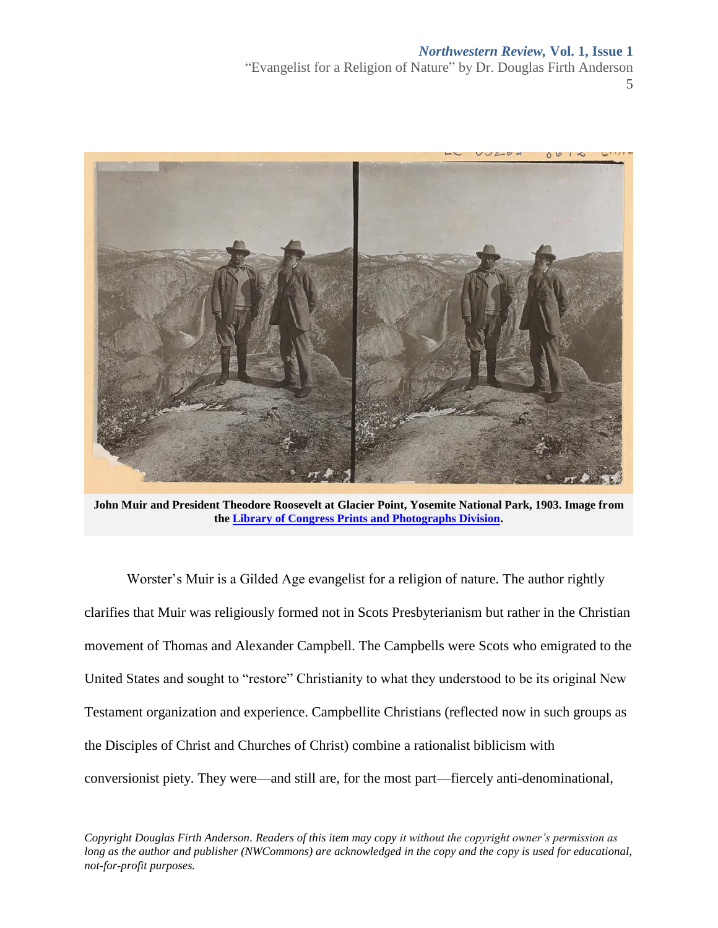### *Northwestern Review,* **Vol. 1, Issue 1**

"Evangelist for a Religion of Nature" by Dr. Douglas Firth Anderson 5



**John Muir and President Theodore Roosevelt at Glacier Point, Yosemite National Park, 1903. Image from the [Library of Congress Prints and Photographs Division.](http://loc.gov/pictures/resource/cph.3g04698/)**

Worster's Muir is a Gilded Age evangelist for a religion of nature. The author rightly clarifies that Muir was religiously formed not in Scots Presbyterianism but rather in the Christian movement of Thomas and Alexander Campbell. The Campbells were Scots who emigrated to the United States and sought to "restore" Christianity to what they understood to be its original New Testament organization and experience. Campbellite Christians (reflected now in such groups as the Disciples of Christ and Churches of Christ) combine a rationalist biblicism with conversionist piety. They were—and still are, for the most part—fiercely anti-denominational,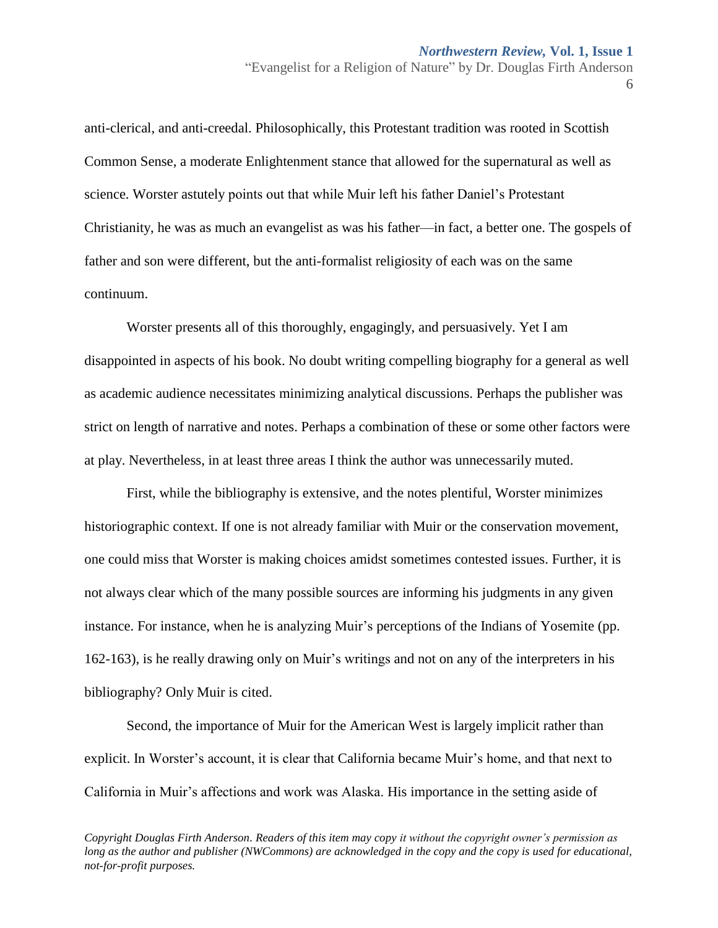anti-clerical, and anti-creedal. Philosophically, this Protestant tradition was rooted in Scottish Common Sense, a moderate Enlightenment stance that allowed for the supernatural as well as science. Worster astutely points out that while Muir left his father Daniel's Protestant Christianity, he was as much an evangelist as was his father—in fact, a better one. The gospels of father and son were different, but the anti-formalist religiosity of each was on the same continuum.

Worster presents all of this thoroughly, engagingly, and persuasively. Yet I am disappointed in aspects of his book. No doubt writing compelling biography for a general as well as academic audience necessitates minimizing analytical discussions. Perhaps the publisher was strict on length of narrative and notes. Perhaps a combination of these or some other factors were at play. Nevertheless, in at least three areas I think the author was unnecessarily muted.

First, while the bibliography is extensive, and the notes plentiful, Worster minimizes historiographic context. If one is not already familiar with Muir or the conservation movement, one could miss that Worster is making choices amidst sometimes contested issues. Further, it is not always clear which of the many possible sources are informing his judgments in any given instance. For instance, when he is analyzing Muir's perceptions of the Indians of Yosemite (pp. 162-163), is he really drawing only on Muir's writings and not on any of the interpreters in his bibliography? Only Muir is cited.

Second, the importance of Muir for the American West is largely implicit rather than explicit. In Worster's account, it is clear that California became Muir's home, and that next to California in Muir's affections and work was Alaska. His importance in the setting aside of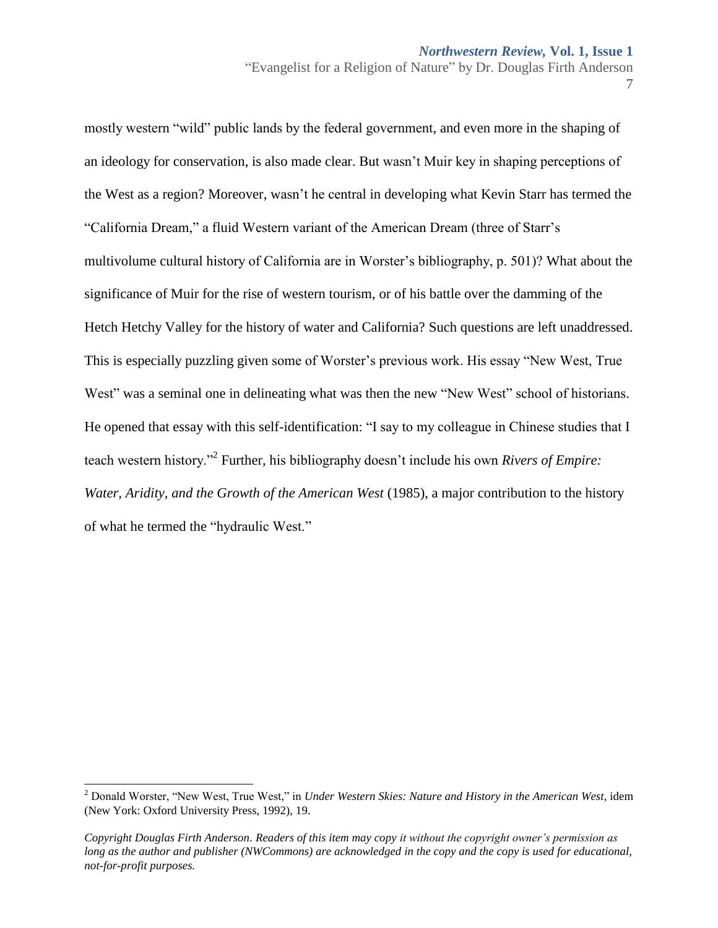mostly western "wild" public lands by the federal government, and even more in the shaping of an ideology for conservation, is also made clear. But wasn't Muir key in shaping perceptions of the West as a region? Moreover, wasn't he central in developing what Kevin Starr has termed the "California Dream," a fluid Western variant of the American Dream (three of Starr's multivolume cultural history of California are in Worster's bibliography, p. 501)? What about the significance of Muir for the rise of western tourism, or of his battle over the damming of the Hetch Hetchy Valley for the history of water and California? Such questions are left unaddressed. This is especially puzzling given some of Worster's previous work. His essay "New West, True West" was a seminal one in delineating what was then the new "New West" school of historians. He opened that essay with this self-identification: "I say to my colleague in Chinese studies that I teach western history."<sup>2</sup> Further, his bibliography doesn't include his own *Rivers of Empire: Water, Aridity, and the Growth of the American West* (1985), a major contribution to the history of what he termed the "hydraulic West."

 $\overline{a}$ 

<sup>2</sup> Donald Worster, "New West, True West," in *Under Western Skies: Nature and History in the American West*, idem (New York: Oxford University Press, 1992), 19.

*Copyright Douglas Firth Anderson. Readers of this item may copy it without the copyright owner's permission as long as the author and publisher (NWCommons) are acknowledged in the copy and the copy is used for educational, not-for-profit purposes.*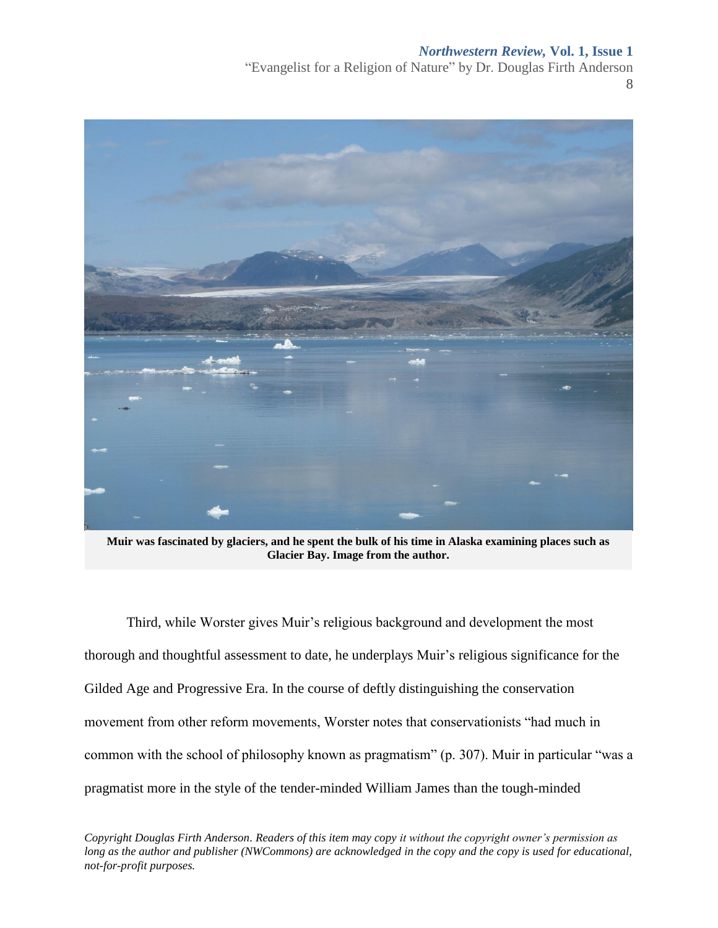## *Northwestern Review,* **Vol. 1, Issue 1**

"Evangelist for a Religion of Nature" by Dr. Douglas Firth Anderson 8



**Muir was fascinated by glaciers, and he spent the bulk of his time in Alaska examining places such as Glacier Bay. Image from the author.**

Third, while Worster gives Muir's religious background and development the most thorough and thoughtful assessment to date, he underplays Muir's religious significance for the Gilded Age and Progressive Era. In the course of deftly distinguishing the conservation movement from other reform movements, Worster notes that conservationists "had much in common with the school of philosophy known as pragmatism" (p. 307). Muir in particular "was a pragmatist more in the style of the tender-minded William James than the tough-minded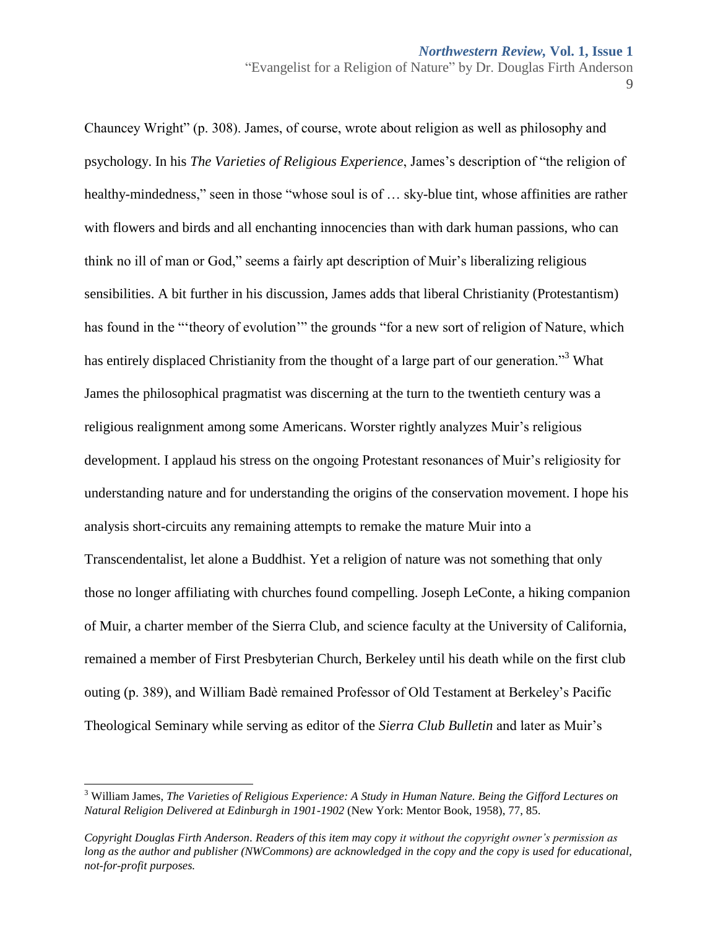Chauncey Wright" (p. 308). James, of course, wrote about religion as well as philosophy and psychology. In his *The Varieties of Religious Experience*, James's description of "the religion of healthy-mindedness," seen in those "whose soul is of … sky-blue tint, whose affinities are rather with flowers and birds and all enchanting innocencies than with dark human passions, who can think no ill of man or God," seems a fairly apt description of Muir's liberalizing religious sensibilities. A bit further in his discussion, James adds that liberal Christianity (Protestantism) has found in the "'theory of evolution'" the grounds "for a new sort of religion of Nature, which has entirely displaced Christianity from the thought of a large part of our generation.<sup>33</sup> What James the philosophical pragmatist was discerning at the turn to the twentieth century was a religious realignment among some Americans. Worster rightly analyzes Muir's religious development. I applaud his stress on the ongoing Protestant resonances of Muir's religiosity for understanding nature and for understanding the origins of the conservation movement. I hope his analysis short-circuits any remaining attempts to remake the mature Muir into a Transcendentalist, let alone a Buddhist. Yet a religion of nature was not something that only those no longer affiliating with churches found compelling. Joseph LeConte, a hiking companion of Muir, a charter member of the Sierra Club, and science faculty at the University of California, remained a member of First Presbyterian Church, Berkeley until his death while on the first club outing (p. 389), and William Badè remained Professor of Old Testament at Berkeley's Pacific Theological Seminary while serving as editor of the *Sierra Club Bulletin* and later as Muir's

 $\overline{a}$ 

<sup>3</sup> William James, *The Varieties of Religious Experience: A Study in Human Nature. Being the Gifford Lectures on Natural Religion Delivered at Edinburgh in 1901-1902* (New York: Mentor Book, 1958), 77, 85.

*Copyright Douglas Firth Anderson. Readers of this item may copy it without the copyright owner's permission as long as the author and publisher (NWCommons) are acknowledged in the copy and the copy is used for educational, not-for-profit purposes.*